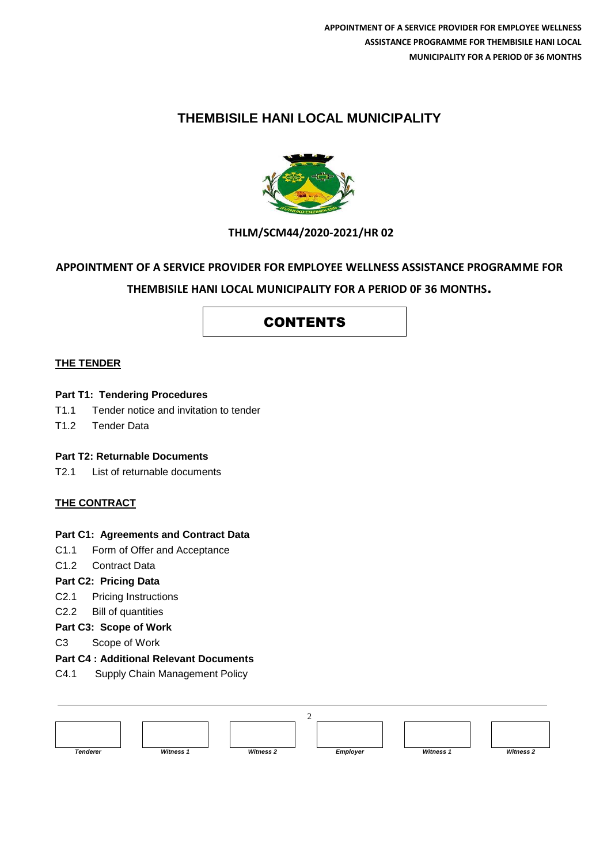## **THEMBISILE HANI LOCAL MUNICIPALITY**



## **THLM/SCM44/2020-2021/HR 02**

## **APPOINTMENT OF A SERVICE PROVIDER FOR EMPLOYEE WELLNESS ASSISTANCE PROGRAMME FOR**

### **THEMBISILE HANI LOCAL MUNICIPALITY FOR A PERIOD 0F 36 MONTHS.**

## CONTENTS

#### **THE TENDER**

#### **Part T1: Tendering Procedures**

- T1.1 Tender notice and invitation to tender
- T1.2 Tender Data

#### **Part T2: Returnable Documents**

T2.1 List of returnable documents

#### **THE CONTRACT**

#### **Part C1: Agreements and Contract Data**

- C1.1 Form of Offer and Acceptance
- C1.2 Contract Data

#### **Part C2: Pricing Data**

- C2.1 Pricing Instructions
- C2.2 Bill of quantities
- **Part C3: Scope of Work**
- C3 Scope of Work

#### **Part C4 : Additional Relevant Documents**

C4.1 Supply Chain Management Policy

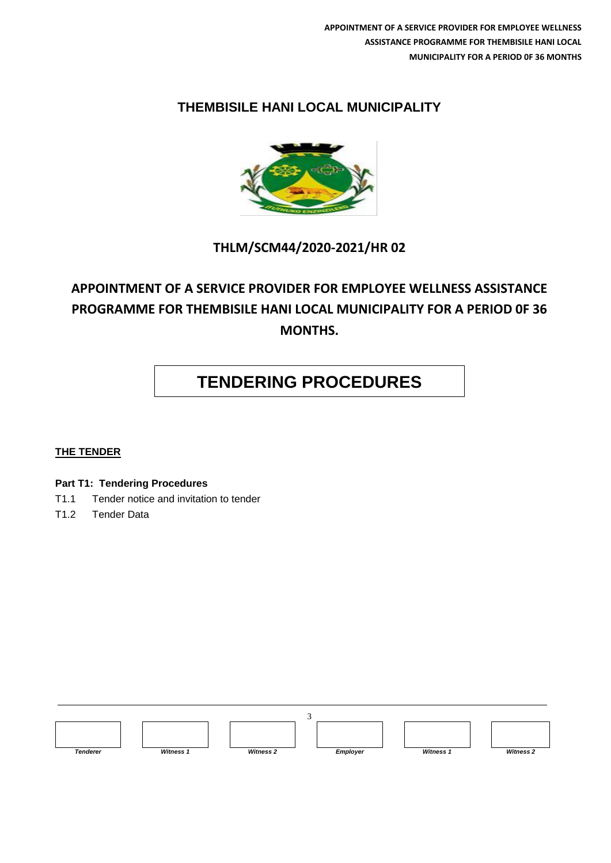# **THEMBISILE HANI LOCAL MUNICIPALITY**



# **THLM/SCM44/2020-2021/HR 02**

# **APPOINTMENT OF A SERVICE PROVIDER FOR EMPLOYEE WELLNESS ASSISTANCE PROGRAMME FOR THEMBISILE HANI LOCAL MUNICIPALITY FOR A PERIOD 0F 36 MONTHS.**

# **TENDERING PROCEDURES**

#### **THE TENDER**

**Part T1: Tendering Procedures**

- T1.1 Tender notice and invitation to tender
- T1.2 Tender Data

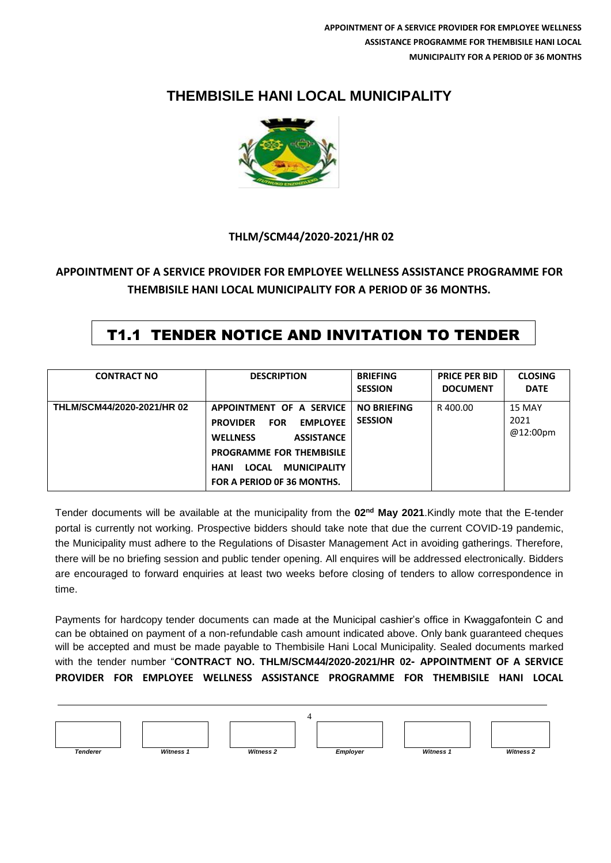# **THEMBISILE HANI LOCAL MUNICIPALITY**



### **THLM/SCM44/2020-2021/HR 02**

## **APPOINTMENT OF A SERVICE PROVIDER FOR EMPLOYEE WELLNESS ASSISTANCE PROGRAMME FOR THEMBISILE HANI LOCAL MUNICIPALITY FOR A PERIOD 0F 36 MONTHS.**

# T1.1 TENDER NOTICE AND INVITATION TO TENDER

| <b>CONTRACT NO</b>         | <b>DESCRIPTION</b>                                                                                                                                                                                                                          | <b>BRIEFING</b><br><b>SESSION</b>    | <b>PRICE PER BID</b><br><b>DOCUMENT</b> | <b>CLOSING</b><br><b>DATE</b> |
|----------------------------|---------------------------------------------------------------------------------------------------------------------------------------------------------------------------------------------------------------------------------------------|--------------------------------------|-----------------------------------------|-------------------------------|
| THLM/SCM44/2020-2021/HR 02 | APPOINTMENT OF A SERVICE<br><b>EMPLOYEE</b><br><b>PROVIDER</b><br><b>FOR</b><br><b>WELLNESS</b><br><b>ASSISTANCE</b><br><b>PROGRAMME FOR THEMBISILE</b><br><b>LOCAL</b><br><b>MUNICIPALITY</b><br><b>HANI</b><br>FOR A PERIOD OF 36 MONTHS. | <b>NO BRIEFING</b><br><b>SESSION</b> | R 400.00                                | 15 MAY<br>2021<br>@12:00pm    |

Tender documents will be available at the municipality from the **02nd May 2021**.Kindly mote that the E-tender portal is currently not working. Prospective bidders should take note that due the current COVID-19 pandemic, the Municipality must adhere to the Regulations of Disaster Management Act in avoiding gatherings. Therefore, there will be no briefing session and public tender opening. All enquires will be addressed electronically. Bidders are encouraged to forward enquiries at least two weeks before closing of tenders to allow correspondence in time.

Payments for hardcopy tender documents can made at the Municipal cashier's office in Kwaggafontein C and can be obtained on payment of a non-refundable cash amount indicated above. Only bank guaranteed cheques will be accepted and must be made payable to Thembisile Hani Local Municipality. Sealed documents marked with the tender number "**CONTRACT NO. THLM/SCM44/2020-2021/HR 02- APPOINTMENT OF A SERVICE PROVIDER FOR EMPLOYEE WELLNESS ASSISTANCE PROGRAMME FOR THEMBISILE HANI LOCAL**